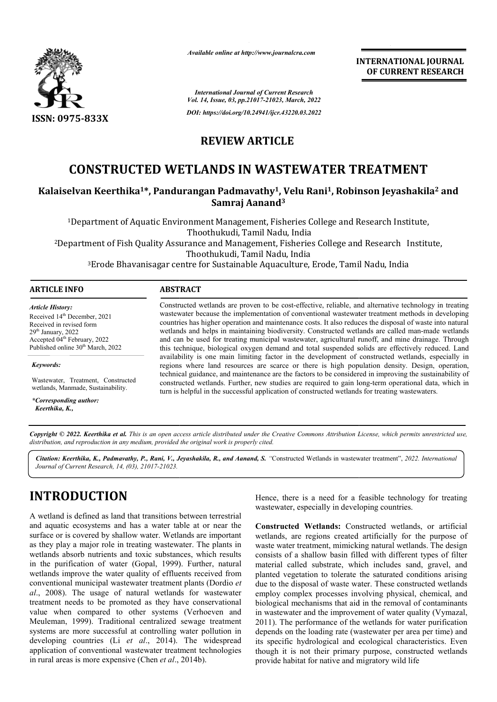

*Available online at http://www.journalcra.com*

*International Journal of Current Research Vol. 14, Issue, 03, pp.21017-21023, March, 2022* **INTERNATIONAL JOURNAL OF CURRENT RESEARCH**

*DOI: https://doi.org/10.24941/ijcr.43220.03.2022*

### **REVIEW ARTICLE**

# **CONSTRUCTED WETLANDS IN WASTEWATER TREATMENT**

# **Kalaiselvan Keerthika1\*, Pandurangan Padmavathy \*, Padmavathy1, Velu Rani1, Robinson Jeyashakila TREATMENT, Robinson Jeyashakila2 and Samraj Aanand3**

<sup>1</sup>Department of Aquatic Environment Management, Fisheries College and Research Institute, <sup>2</sup>Department of Fish Quality Assurance and Management, Fisheries College and Research Institute,<br>Thoothukudi, Tamil Nadu, India Thoothukudi, Tamil Nadu, India

 $^3\rm{E}$ rode Bhavanisagar centre for Sustainable Aquaculture, Erode, Tamil Nadu, India

| <b>ARTICLE INFO</b>     | <b>ABSTRACT</b>                                                                                        |  |
|-------------------------|--------------------------------------------------------------------------------------------------------|--|
| <b>Article History:</b> | Constructed wetlands are proven to be cost-effective, reliable, and alternative technology in treating |  |

Received 14<sup>th</sup> December, 2021 Received in revised form 29th January, 2022 Accepted 04th February, 2022 Published online 30<sup>th</sup> March, 2022

*Keywords:*

Wastewater, Treatment, Constructed wetlands, Manmade, Sustainability.

*\*Corresponding author: Keerthika, K.,*

wastewater because the implementation of conventional wastewater treatment methods in developing Constructed wetlands are proven to be cost-effective, reliable, and alternative technology in treating wastewater because the implementation of conventional wastewater treatment methods in developing countries has higher o wetlands and helps in maintaining biodiversity. Constructed wetlands are called man-made wetlands and can be used for treating municipal wastewater, agricultural runoff, and mine drainage. Through this technique, biological oxygen d demand and total suspended solids are effectively reduced. Land availability is one main limiting factor in the development of constructed wetlands, especially in and can be used for treating municipal wastewater, agricultural runoff, and mine drainage. Through this technique, biological oxygen demand and total suspended solids are effectively reduced. Land availability is one main technical guidance, and maintenance are the factors to be considered in improving the sustainability of technical guidance, and maintenance are the factors to be considered in improving the sustainability of constructed wetlands. Further, new studies are required to gain long-term operational data, which in turn is helpful in the successful application of constructed wetlands for treating wastewaters.

Copyright © 2022. Keerthika et al. This is an open access article distributed under the Creative Commons Attribution License, which permits unrestricted use, *distribution, and reproduction in any medium, provided the original work is properly cited.*

Citation: Keerthika, K., Padmavathy, P., Rani, V., Jeyashakila, R., and Aanand, S. "Constructed Wetlands in wastewater treatment", 2022. International *Journal of Current Research, 14, (03), 21017-21023.*

# **INTRODUCTION**

A wetland is defined as land that transitions between terrestrial and aquatic ecosystems and has a water table at or near the surface or is covered by shallow water. Wetlands are important as they play a major role in treating wastewater. The plants in wetlands absorb nutrients and toxic substances, which results in the purification of water (Gopal, 1999). Further, natural wetlands improve the water quality of effluents received from conventional municipal wastewater treatment plants (Dordio *et al*., 2008). The usage of natural wetlands for wastewater treatment needs to be promoted as they have conservational value when compared to other systems (Verhoeven and Meuleman, 1999). Traditional centralized sewage treatment systems are more successful at controlling water pollution in developing countries (Li *et al*., 2014). The widespread application of conventional wastewater treatment technologies in rural areas is more expensive (Chen *et al*., 2014b).

wastewater, especially in developing countries. Hence, there is a need for a feasible technology for treating

Hence, there is a need for a feasible technology for treating<br>
wastewater, especially in developing countries.<br>
It table at or near the<br> **Constructed Wetlands:** Constructed wetlands, or artificial<br>
Vetlands are important<br> **Constructed Wetlands:** Constructed wetlands, or artificial wetlands, are regions created artificially for the purpose of waste water treatment, mimicking natural wetlands. The design consists of a shallow basin filled with different types of filter material called substrate, which includes sand, gravel, and planted vegetation to tolerate the saturated conditions arising due to the disposal of waste water. These constructed wetlands employ complex processes involving physical, chemical, and biological mechanisms that aid in the removal of contaminants in wastewater and the improvement of water quality (Vymazal, 2011). The performance of the wetlands for water purification depends on the loading rate (wastewater per area per time) and its specific hydrological and ecological characteristics. Even though it is not their primary purpose, constructed wetlands provide habitat for native and migratory wild wetlands, are regions created artificially for the purpose of waste water treatment, mimicking natural wetlands. The design consists of a shallow basin filled with different types of filter material called substrate, which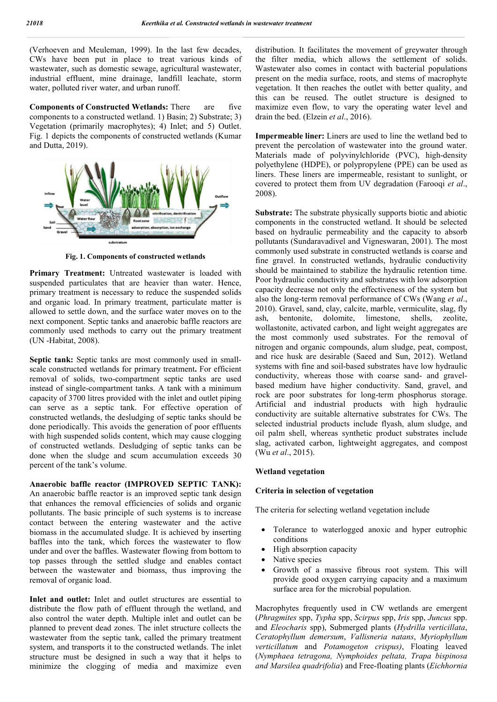(Verhoeven and Meuleman, 1999). In the last few decades, CWs have been put in place to treat various kinds of wastewater, such as domestic sewage, agricultural wastewater, industrial effluent, mine drainage, landfill leachate, storm water, polluted river water, and urban runoff.

**Components of Constructed Wetlands:** There are five components to a constructed wetland. 1) Basin; 2) Substrate; 3) Vegetation (primarily macrophytes); 4) Inlet; and 5) Outlet. Fig. 1 depicts the components of constructed wetlands (Kumar and Dutta, 2019).



**Fig. 1. Components of constructed wetlands**

**Primary Treatment:** Untreated wastewater is loaded with suspended particulates that are heavier than water. Hence, primary treatment is necessary to reduce the suspended solids and organic load. In primary treatment, particulate matter is allowed to settle down, and the surface water moves on to the next component. Septic tanks and anaerobic baffle reactors are commonly used methods to carry out the primary treatment (UN -Habitat, 2008).

**Septic tank:** Septic tanks are most commonly used in smallscale constructed wetlands for primary treatment**.** For efficient removal of solids, two-compartment septic tanks are used instead of single-compartment tanks. A tank with a minimum capacity of 3700 litres provided with the inlet and outlet piping can serve as a septic tank. For effective operation of constructed wetlands, the desludging of septic tanks should be done periodically. This avoids the generation of poor effluents with high suspended solids content, which may cause clogging of constructed wetlands. Desludging of septic tanks can be done when the sludge and scum accumulation exceeds 30 percent of the tank's volume.

**Anaerobic baffle reactor (IMPROVED SEPTIC TANK):** An anaerobic baffle reactor is an improved septic tank design that enhances the removal efficiencies of solids and organic pollutants. The basic principle of such systems is to increase contact between the entering wastewater and the active biomass in the accumulated sludge. It is achieved by inserting baffles into the tank, which forces the wastewater to flow under and over the baffles. Wastewater flowing from bottom to top passes through the settled sludge and enables contact between the wastewater and biomass, thus improving the removal of organic load.

**Inlet and outlet:** Inlet and outlet structures are essential to distribute the flow path of effluent through the wetland, and also control the water depth. Multiple inlet and outlet can be planned to prevent dead zones. The inlet structure collects the wastewater from the septic tank, called the primary treatment system, and transports it to the constructed wetlands. The inlet structure must be designed in such a way that it helps to minimize the clogging of media and maximize even distribution. It facilitates the movement of greywater through the filter media, which allows the settlement of solids. Wastewater also comes in contact with bacterial populations present on the media surface, roots, and stems of macrophyte vegetation. It then reaches the outlet with better quality, and this can be reused. The outlet structure is designed to maximize even flow, to vary the operating water level and drain the bed. (Elzein *et al*., 2016).

**Impermeable liner:** Liners are used to line the wetland bed to prevent the percolation of wastewater into the ground water. Materials made of polyvinylchloride (PVC), high-density polyethylene (HDPE), or polypropylene (PPE) can be used as liners. These liners are impermeable, resistant to sunlight, or covered to protect them from UV degradation (Farooqi *et al*., 2008).

**Substrate:** The substrate physically supports biotic and abiotic components in the constructed wetland. It should be selected based on hydraulic permeability and the capacity to absorb pollutants (Sundaravadivel and Vigneswaran, 2001). The most commonly used substrate in constructed wetlands is coarse and fine gravel. In constructed wetlands, hydraulic conductivity should be maintained to stabilize the hydraulic retention time. Poor hydraulic conductivity and substrates with low adsorption capacity decrease not only the effectiveness of the system but also the long-term removal performance of CWs (Wang *et al*., 2010). Gravel, sand, clay, calcite, marble, vermiculite, slag, fly ash, bentonite, dolomite, limestone, shells, zeolite, wollastonite, activated carbon, and light weight aggregates are the most commonly used substrates. For the removal of nitrogen and organic compounds, alum sludge, peat, compost, and rice husk are desirable (Saeed and Sun, 2012). Wetland systems with fine and soil-based substrates have low hydraulic conductivity, whereas those with coarse sand- and gravelbased medium have higher conductivity. Sand, gravel, and rock are poor substrates for long-term phosphorus storage. Artificial and industrial products with high hydraulic conductivity are suitable alternative substrates for CWs. The selected industrial products include flyash, alum sludge, and oil palm shell, whereas synthetic product substrates include slag, activated carbon, lightweight aggregates, and compost (Wu *et al*., 2015).

#### **Wetland vegetation**

#### **Criteria in selection of vegetation**

The criteria for selecting wetland vegetation include

- Tolerance to waterlogged anoxic and hyper eutrophic conditions
- High absorption capacity
- Native species
- Growth of a massive fibrous root system. This will provide good oxygen carrying capacity and a maximum surface area for the microbial population.

Macrophytes frequently used in CW wetlands are emergent (*Phragmites* spp, *Typha* spp, *Scirpus* spp, *Iris* spp, *Juncus* spp. and *Eleocharis* spp), Submerged plants (*Hydrilla verticillata*, *Ceratophyllum demersum*, *Vallisneria natans*, *Myriophyllum verticillatum* and *Potamogeton crispus)*, Floating leaved (*Nymphaea tetragona, Nymphoides peltata, Trapa bispinosa and Marsilea quadrifolia*) and Free-floating plants (*Eichhornia*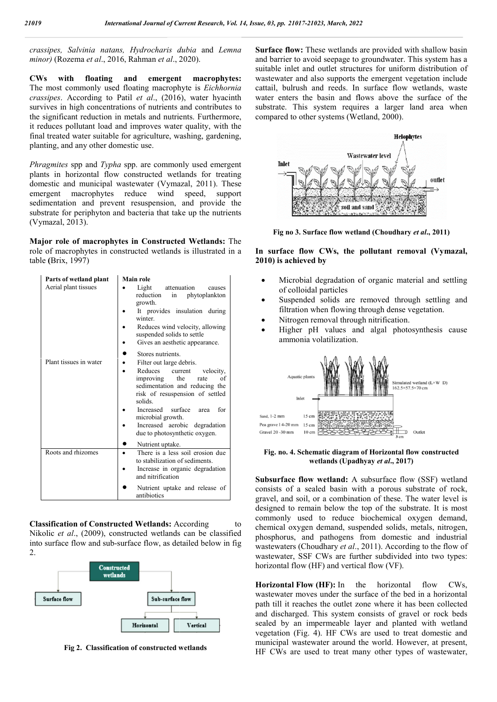| assipes, Salvinia natans, Hydrocharis dubia and Lemna<br>nor) (Rozema et al., 2016, Rahman et al., 2020).<br>floating<br>Ws.<br>with<br>and<br>emergent<br>macrophytes:<br>ne most commonly used floating macrophyte is Eichhornia<br>assipes. According to Patil et al., (2016), water hyacinth<br>rvives in high concentrations of nutrients and contributes to<br>e significant reduction in metals and nutrients. Furthermore,<br>reduces pollutant load and improves water quality, with the |                                                                                                                                                                                                                                                                                                                                             | <b>Surface flow:</b> These wetlands are provided with shallow basin<br>and barrier to avoid seepage to groundwater. This system has a<br>suitable inlet and outlet structures for uniform distribution of<br>wastewater and also supports the emergent vegetation include<br>cattail, bulrush and reeds. In surface flow wetlands, waste<br>water enters the basin and flows above the surface of the<br>substrate. This system requires a larger land area when<br>compared to other systems (Wetland, 2000). |
|---------------------------------------------------------------------------------------------------------------------------------------------------------------------------------------------------------------------------------------------------------------------------------------------------------------------------------------------------------------------------------------------------------------------------------------------------------------------------------------------------|---------------------------------------------------------------------------------------------------------------------------------------------------------------------------------------------------------------------------------------------------------------------------------------------------------------------------------------------|----------------------------------------------------------------------------------------------------------------------------------------------------------------------------------------------------------------------------------------------------------------------------------------------------------------------------------------------------------------------------------------------------------------------------------------------------------------------------------------------------------------|
| anting, and any other domestic use.                                                                                                                                                                                                                                                                                                                                                                                                                                                               | al treated water suitable for agriculture, washing, gardening,                                                                                                                                                                                                                                                                              | <b>Helophytes</b>                                                                                                                                                                                                                                                                                                                                                                                                                                                                                              |
| nergent macrophytes reduce wind<br>ymazal, 2013).                                                                                                                                                                                                                                                                                                                                                                                                                                                 | <i>ragmites</i> spp and <i>Typha</i> spp. are commonly used emergent<br>ants in horizontal flow constructed wetlands for treating<br>mestic and municipal wastewater (Vymazal, 2011). These<br>speed,<br>support<br>dimentation and prevent resuspension, and provide the<br>bstrate for periphyton and bacteria that take up the nutrients | Wastewater level<br>Inlet<br>outlet<br>soil and san                                                                                                                                                                                                                                                                                                                                                                                                                                                            |
|                                                                                                                                                                                                                                                                                                                                                                                                                                                                                                   | ajor role of macrophytes in Constructed Wetlands: The                                                                                                                                                                                                                                                                                       | Fig no 3. Surface flow wetland (Choudhary et al., 2011)                                                                                                                                                                                                                                                                                                                                                                                                                                                        |
| ble (Brix, 1997)                                                                                                                                                                                                                                                                                                                                                                                                                                                                                  | le of macrophytes in constructed wetlands is illustrated in a                                                                                                                                                                                                                                                                               | In surface flow CWs, the pollutant removal (Vymazal,<br>2010) is achieved by                                                                                                                                                                                                                                                                                                                                                                                                                                   |
| Parts of wetland plant<br>Aerial plant tissues                                                                                                                                                                                                                                                                                                                                                                                                                                                    | <b>Main role</b><br>attenuation<br>Light<br>causes<br>phytoplankton<br>reduction<br>in<br>growth.<br>It provides insulation during<br>winter.<br>Reduces wind velocity, allowing<br>suspended solids to settle<br>Gives an aesthetic appearance.<br>٠                                                                                       | Microbial degradation of organic material and settling<br>٠<br>of colloidal particles<br>Suspended solids are removed through settling and<br>$\bullet$<br>filtration when flowing through dense vegetation.<br>Nitrogen removal through nitrification.<br>٠<br>Higher pH values and algal photosynthesis cause<br>$\bullet$<br>ammonia volatilization.                                                                                                                                                        |
| Plant tissues in water                                                                                                                                                                                                                                                                                                                                                                                                                                                                            | Stores nutrients.<br>Filter out large debris.<br>$\bullet$<br>Reduces<br>current<br>velocity,<br>٠<br>the<br>improving<br>rate<br>оf<br>sedimentation and reducing the<br>risk of resuspension of settled<br>solids.<br>Increased surface<br>area<br>for<br>microbial growth.<br>Increased aerobic degradation<br>$\bullet$                 | Aquatic plants<br>Simulated wetland (L×W D)<br>162.5×57.5×70 cm<br>Inlet<br>Sand, 1-2 mm<br>$15 \text{ cm}$<br>Pea grave 14-20 mm 15 cm<br>10 cm<br>Gravel 20 -30 mm<br>Outlet                                                                                                                                                                                                                                                                                                                                 |
|                                                                                                                                                                                                                                                                                                                                                                                                                                                                                                   | due to photosynthetic oxygen.<br>Nutrient uptake.                                                                                                                                                                                                                                                                                           |                                                                                                                                                                                                                                                                                                                                                                                                                                                                                                                |

**Classification of Constructed Wetlands:** According to Nikolic *et al*., (2009), constructed wetlands can be classified into surface flow and sub-surface flow, as detailed below in fig  $\mathcal{L}$ 



**Fig 2. Classification of constructed wetlands**



**Fig no 3. Surface flow wetland (Choudhary** *et al***., 2011)**

- Microbial degradation of organic material and settling of colloidal particles
- Suspended solids are removed through settling and filtration when flowing through dense vegetation.
- Nitrogen removal through nitrification.
- Higher pH values and algal photosynthesis cause ammonia volatilization.



**Fig. no. 4. Schematic diagram of Horizontal flow constructed diagram of wetlands (Upadhyay**  *et al***., 2017)**

**Subsurface flow wetland:** A subsurface flow (SSF) wetland consists of a sealed basin with a porous substrate of rock, gravel, and soil, or a combination of these. The water level is designed to remain below the top of the substrate. It is most consists of a sealed basin with a porous substrate of rock, gravel, and soil, or a combination of these. The water level is designed to remain below the top of the substrate. It is most commonly used to reduce biochemical chemical oxygen demand, suspended solids, metals, nitrogen, chemical oxygen demand, suspended solids, metals, nitrogen, phosphorus, and pathogens from domestic and industrial wastewaters (Choudhary *et al*., 2011). According to the flow of wastewater, SSF CWs are further subdivided into two types: horizontal flow (HF) and vertical flow (VF).

**Horizontal Flow (HF):** In the horizontal flow CWs, wastewater moves under the surface of the bed in a horizontal path till it reaches the outlet zone where it has been collected wastewater, SSF CWs are further subdivided into two types:<br>
horizontal flow (HF) and vertical flow (VF).<br> **Horizontal Flow (HF):** In the horizontal flow CWs,<br>
wastewater moves under the surface of the bed in a horizontal<br> sealed by an impermeable layer and planted with wetland vegetation (Fig. 4). HF CWs are used to treat domestic and municipal wastewater around the world. However, at present, HF CWs are used to treat many other types of wastewater, sealed by an impermeable layer and planted with wetland vegetation (Fig. 4). HF CWs are used to treat domestic and municipal wastewater around the world. However, at present, HF CWs are used to treat many other types of wa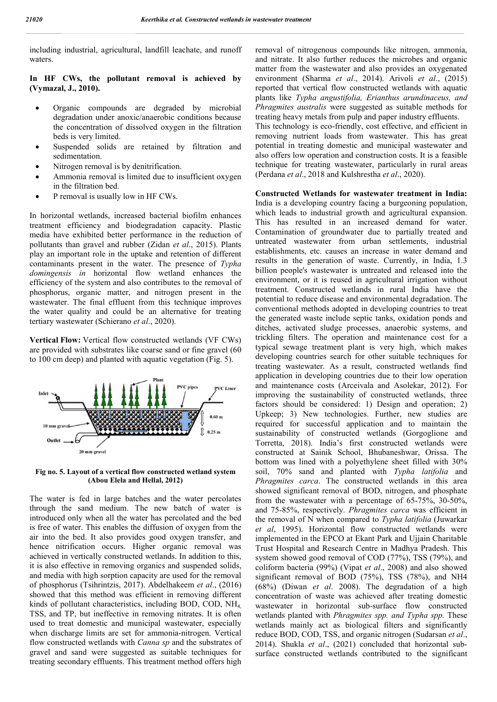including industrial, agricultural, landfill leachate, and runoff waters.

**In HF CWs, the pollutant removal is achieved by (Vymazal, J., 2010).**

- Organic compounds are degraded by microbial degradation under anoxic/anaerobic conditions because the concentration of dissolved oxygen in the filtration beds is very limited.
- Suspended solids are retained by filtration and sedimentation.
- Nitrogen removal is by denitrification.
- Ammonia removal is limited due to insufficient oxygen in the filtration bed.
- P removal is usually low in HF CWs.

In horizontal wetlands, increased bacterial biofilm enhances treatment efficiency and biodegradation capacity. Plastic media have exhibited better performance in the reduction of pollutants than gravel and rubber (Zidan *et al*., 2015). Plants play an important role in the uptake and retention of different contaminants present in the water. The presence of *Typha domingensis in* horizontal flow wetland enhances the efficiency of the system and also contributes to the removal of phosphorus, organic matter, and nitrogen present in the wastewater. The final effluent from this technique improves the water quality and could be an alternative for treating tertiary wastewater (Schierano *et al*., 2020).

**Vertical Flow:** Vertical flow constructed wetlands (VF CWs) are provided with substrates like coarse sand or fine gravel (60 to 100 cm deep) and planted with aquatic vegetation (Fig. 5).



**Fig no. 5. Layout of a vertical flow constructed wetland system (Abou Elela and Hellal, 2012)**

The water is fed in large batches and the water percolates through the sand medium. The new batch of water is introduced only when all the water has percolated and the bed is free of water. This enables the diffusion of oxygen from the air into the bed. It also provides good oxygen transfer, and hence nitrification occurs. Higher organic removal was achieved in vertically constructed wetlands. In addition to this, it is also effective in removing organics and suspended solids, and media with high sorption capacity are used for the removal of phosphorus (Tsihrintzis, 2017). Abdelhakeem *et al*., (2016) showed that this method was efficient in removing different kinds of pollutant characteristics, including BOD, COD, NH4, TSS, and TP, but ineffective in removing nitrates. It is often used to treat domestic and municipal wastewater, especially when discharge limits are set for ammonia-nitrogen. Vertical flow constructed wetlands with *Canna sp* and the substrates of gravel and sand were suggested as suitable techniques for treating secondary effluents. This treatment method offers high

removal of nitrogenous compounds like nitrogen, ammonia, and nitrate. It also further reduces the microbes and organic matter from the wastewater and also provides an oxygenated environment (Sharma *et al*., 2014). Arivoli *et al*., (2015) reported that vertical flow constructed wetlands with aquatic plants like *Typha angustifolia, Erianthus arundinaceus, and Phragmites australis* were suggested as suitable methods for treating heavy metals from pulp and paper industry effluents. This technology is eco-friendly, cost effective, and efficient in removing nutrient loads from wastewater. This has great potential in treating domestic and municipal wastewater and also offers low operation and construction costs. It is a feasible technique for treating wastewater, particularly in rural areas (Perdana *et al*., 2018 and Kulshrestha *et al*., 2020).

#### **Constructed Wetlands for wastewater treatment in India:**

India is a developing country facing a burgeoning population, which leads to industrial growth and agricultural expansion. This has resulted in an increased demand for water. Contamination of groundwater due to partially treated and untreated wastewater from urban settlements, industrial establishments, etc. causes an increase in water demand and results in the generation of waste. Currently, in India, 1.3 billion people's wastewater is untreated and released into the environment, or it is reused in agricultural irrigation without treatment. Constructed wetlands in rural India have the potential to reduce disease and environmental degradation. The conventional methods adopted in developing countries to treat the generated waste include septic tanks, oxidation ponds and ditches, activated sludge processes, anaerobic systems, and trickling filters. The operation and maintenance cost for a typical sewage treatment plant is very high, which makes developing countries search for other suitable techniques for treating wastewater. As a result, constructed wetlands find application in developing countries due to their low operation and maintenance costs (Arceivala and Asolekar, 2012). For improving the sustainability of constructed wetlands, three factors should be considered: 1) Design and operation; 2) Upkeep; 3) New technologies. Further, new studies are required for successful application and to maintain the sustainability of constructed wetlands (Gorgoglione and Torretta, 2018). India's first constructed wetlands were constructed at Sainik School, Bhubaneshwar, Orissa. The bottom was lined with a polyethylene sheet filled with 30% soil, 70% sand and planted with *Typha latifolia* and *Phragmites carca*. The constructed wetlands in this area showed significant removal of BOD, nitrogen, and phosphate from the wastewater with a percentage of 65-75%, 30-50%, and 75-85%, respectively. *Phragmites carca* was efficient in the removal of N when compared to *Typha latifolia* (Juwarkar *et al*, 1995). Horizontal flow constructed wetlands were implemented in the EPCO at Ekant Park and Ujjain Charitable Trust Hospital and Research Centre in Madhya Pradesh. This system showed good removal of COD (77%), TSS (79%), and coliform bacteria (99%) (Vipat *et al*., 2008) and also showed significant removal of BOD (75%), TSS (78%), and NH4 (68%) (Diwan *et al*. 2008). The degradation of a high concentration of waste was achieved after treating domestic wastewater in horizontal sub-surface flow constructed wetlands planted with *Phragmites spp. and Typha spp.* These wetlands mainly act as biological filters and significantly reduce BOD, COD, TSS, and organic nitrogen (Sudarsan *et al*., 2014). Shukla *et al*., (2021) concluded that horizontal subsurface constructed wetlands contributed to the significant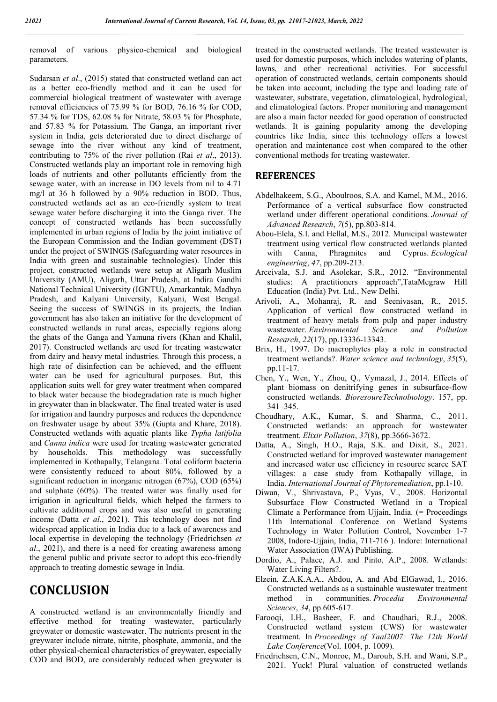removal of various physico-chemical and biological parameters.

Sudarsan *et al*., (2015) stated that constructed wetland can act as a better eco-friendly method and it can be used for commercial biological treatment of wastewater with average removal efficiencies of 75.99 % for BOD, 76.16 % for COD, 57.34 % for TDS, 62.08 % for Nitrate, 58.03 % for Phosphate, and 57.83 % for Potassium. The Ganga, an important river system in India, gets deteriorated due to direct discharge of sewage into the river without any kind of treatment, contributing to 75% of the river pollution (Rai *et al*., 2013). Constructed wetlands play an important role in removing high loads of nutrients and other pollutants efficiently from the sewage water, with an increase in DO levels from nil to 4.71 mg/l at 36 h followed by a 90% reduction in BOD. Thus, constructed wetlands act as an eco-friendly system to treat sewage water before discharging it into the Ganga river. The concept of constructed wetlands has been successfully implemented in urban regions of India by the joint initiative of the European Commission and the Indian government (DST) under the project of SWINGS (Safeguarding water resources in India with green and sustainable technologies). Under this project, constructed wetlands were setup at Aligarh Muslim University (AMU), Aligarh, Uttar Pradesh, at Indira Gandhi National Technical University (IGNTU), Amarkantak, Madhya Pradesh, and Kalyani University, Kalyani, West Bengal. Seeing the success of SWINGS in its projects, the Indian government has also taken an initiative for the development of constructed wetlands in rural areas, especially regions along the ghats of the Ganga and Yamuna rivers (Khan and Khalil, 2017). Constructed wetlands are used for treating wastewater from dairy and heavy metal industries. Through this process, a high rate of disinfection can be achieved, and the effluent water can be used for agricultural purposes. But, this application suits well for grey water treatment when compared to black water because the biodegradation rate is much higher in greywater than in blackwater. The final treated water is used for irrigation and laundry purposes and reduces the dependence on freshwater usage by about 35% (Gupta and Khare, 2018). Constructed wetlands with aquatic plants like *Typha latifolia* and *Canna indica* were used for treating wastewater generated by households. This methodology was successfully implemented in Kothapally, Telangana. Total coliform bacteria were consistently reduced to about 80%, followed by a significant reduction in inorganic nitrogen (67%), COD (65%) and sulphate (60%). The treated water was finally used for irrigation in agricultural fields, which helped the farmers to cultivate additional crops and was also useful in generating income (Datta *et al*., 2021). This technology does not find widespread application in India due to a lack of awareness and local expertise in developing the technology (Friedrichsen *et al*., 2021), and there is a need for creating awareness among the general public and private sector to adopt this eco-friendly approach to treating domestic sewage in India.

## **CONCLUSION**

A constructed wetland is an environmentally friendly and effective method for treating wastewater, particularly greywater or domestic wastewater. The nutrients present in the greywater include nitrate, nitrite, phosphate, ammonia, and the other physical-chemical characteristics of greywater, especially COD and BOD, are considerably reduced when greywater is

treated in the constructed wetlands. The treated wastewater is used for domestic purposes, which includes watering of plants, lawns, and other recreational activities. For successful operation of constructed wetlands, certain components should be taken into account, including the type and loading rate of wastewater, substrate, vegetation, climatological, hydrological, and climatological factors. Proper monitoring and management are also a main factor needed for good operation of constructed wetlands. It is gaining popularity among the developing countries like India, since this technology offers a lowest operation and maintenance cost when compared to the other conventional methods for treating wastewater.

#### **REFERENCES**

- Abdelhakeem, S.G., Aboulroos, S.A. and Kamel, M.M., 2016. Performance of a vertical subsurface flow constructed wetland under different operational conditions. *Journal of Advanced Research*, *7*(5), pp.803-814.
- Abou-Elela, S.I. and Hellal, M.S., 2012. Municipal wastewater treatment using vertical flow constructed wetlands planted with Canna, Phragmites and Cyprus. *Ecological engineering*, *47*, pp.209-213.
- Arceivala, S.J. and Asolekar, S.R., 2012. "Environmental studies: A practitioners approach",TataMcgraw Hill Education (India) Pvt. Ltd., New Delhi.
- Arivoli, A., Mohanraj, R. and Seenivasan, R., 2015. Application of vertical flow constructed wetland in treatment of heavy metals from pulp and paper industry wastewater. *Environmental Science and Pollution Research*, *22*(17), pp.13336-13343.
- Brix, H., 1997. Do macrophytes play a role in constructed treatment wetlands?. *Water science and technology*, *35*(5), pp.11-17.
- Chen, Y., Wen, Y., Zhou, Q., Vymazal, J., 2014. Effects of plant biomass on denitrifying genes in subsurface-flow constructed wetlands. *BioresoureTechnolnology*. 157, pp. 341–345.
- Choudhary, A.K., Kumar, S. and Sharma, C., 2011. Constructed wetlands: an approach for wastewater treatment. *Elixir Pollution*, *37*(8), pp.3666-3672.
- Datta, A., Singh, H.O., Raja, S.K. and Dixit, S., 2021. Constructed wetland for improved wastewater management and increased water use efficiency in resource scarce SAT villages: a case study from Kothapally village, in India. *International Journal of Phytoremediation*, pp.1-10.
- Diwan, V., Shrivastava, P., Vyas, V., 2008. Horizontal Subsurface Flow Constructed Wetland in a Tropical Climate a Performance from Ujjain, India. (= Proceedings 11th International Conference on Wetland Systems Technology in Water Pollution Control, November 1-7 2008, Indore-Ujjain, India, 711-716 ). Indore: International Water Association (IWA) Publishing.
- Dordio, A., Palace, A.J. and Pinto, A.P., 2008. Wetlands: Water Living Filters?.
- Elzein, Z.A.K.A.A., Abdou, A. and Abd ElGawad, I., 2016. Constructed wetlands as a sustainable wastewater treatment method in communities. *Procedia Environmental Sciences*, *34*, pp.605-617.
- Farooqi, I.H., Basheer, F. and Chaudhari, R.J., 2008. Constructed wetland system (CWS) for wastewater treatment. In *Proceedings of Taal2007: The 12th World Lake Conference*(Vol. 1004, p. 1009).
- Friedrichsen, C.N., Monroe, M., Daroub, S.H. and Wani, S.P., 2021. Yuck! Plural valuation of constructed wetlands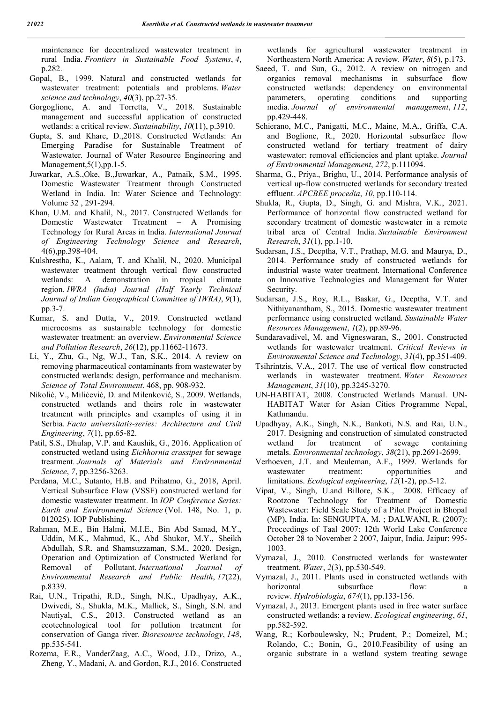maintenance for decentralized wastewater treatment in rural India. *Frontiers in Sustainable Food Systems*, *4*, p.282.

- Gopal, B., 1999. Natural and constructed wetlands for wastewater treatment: potentials and problems. *Water science and technology*, *40*(3), pp.27-35.
- Gorgoglione, A. and Torretta, V., 2018. Sustainable management and successful application of constructed wetlands: a critical review. *Sustainability*, *10*(11), p.3910.
- Gupta, S. and Khare, D.,2018. Constructed Wetlands: An Emerging Paradise for Sustainable Treatment of Wastewater. Journal of Water Resource Engineering and Management,  $5(1)$ , pp. 1-5.
- Juwarkar, A.S.,Oke, B.,Juwarkar, A., Patnaik, S.M., 1995. Domestic Wastewater Treatment through Constructed Wetland in India. In: Water Science and Technology: Volume 32 , 291-294.
- Khan, U.M. and Khalil, N., 2017. Constructed Wetlands for Domestic Wastewater Treatment – A Promising Technology for Rural Areas in India. *International Journal of Engineering Technology Science and Research*, 4(6),pp.398-404.
- Kulshrestha, K., Aalam, T. and Khalil, N., 2020. Municipal wastewater treatment through vertical flow constructed wetlands: A demonstration in tropical climate region. *IWRA (India) Journal (Half Yearly Technical Journal of Indian Geographical Committee of IWRA)*, *9*(1), pp.3-7.
- Kumar, S. and Dutta, V., 2019. Constructed wetland microcosms as sustainable technology for domestic wastewater treatment: an overview. *Environmental Science and Pollution Research*, *26*(12), pp.11662-11673.
- Li, Y., Zhu, G., Ng, W.J., Tan, S.K., 2014. A review on removing pharmaceutical contaminants from wastewater by constructed wetlands: design, performance and mechanism. *Science of Total Environment*. 468, pp. 908-932.
- Nikolić, V., Milićević, D. and Milenković, S., 2009. Wetlands, constructed wetlands and theirs role in wastewater treatment with principles and examples of using it in Serbia. *Facta universitatis-series: Architecture and Civil Engineering*, *7*(1), pp.65-82.
- Patil, S.S., Dhulap, V.P. and Kaushik, G., 2016. Application of constructed wetland using *Eichhornia crassipes* for sewage treatment. *Journals of Materials and Environmental Science*, *7*, pp.3256-3263.
- Perdana, M.C., Sutanto, H.B. and Prihatmo, G., 2018, April. Vertical Subsurface Flow (VSSF) constructed wetland for domestic wastewater treatment. In *IOP Conference Series: Earth and Environmental Science* (Vol. 148, No. 1, p. 012025). IOP Publishing.
- Rahman, M.E., Bin Halmi, M.I.E., Bin Abd Samad, M.Y., Uddin, M.K., Mahmud, K., Abd Shukor, M.Y., Sheikh Abdullah, S.R. and Shamsuzzaman, S.M., 2020. Design, Operation and Optimization of Constructed Wetland for Removal of Pollutant. *International Journal of Environmental Research and Public Health*, *17*(22), p.8339.
- Rai, U.N., Tripathi, R.D., Singh, N.K., Upadhyay, A.K., Dwivedi, S., Shukla, M.K., Mallick, S., Singh, S.N. and Nautiyal, C.S., 2013. Constructed wetland as an ecotechnological tool for pollution treatment for conservation of Ganga river. *Bioresource technology*, *148*, pp.535-541.
- Rozema, E.R., VanderZaag, A.C., Wood, J.D., Drizo, A., Zheng, Y., Madani, A. and Gordon, R.J., 2016. Constructed

wetlands for agricultural wastewater treatment in Northeastern North America: A review. *Water*, *8*(5), p.173.

- Saeed, T. and Sun, G., 2012. A review on nitrogen and organics removal mechanisms in subsurface flow constructed wetlands: dependency on environmental parameters, operating conditions and supporting media. *Journal of environmental management*, *112*, pp.429-448.
- Schierano, M.C., Panigatti, M.C., Maine, M.A., Griffa, C.A. and Boglione, R., 2020. Horizontal subsurface flow constructed wetland for tertiary treatment of dairy wastewater: removal efficiencies and plant uptake. *Journal of Environmental Management*, *272*, p.111094.
- Sharma, G., Priya., Brighu, U., 2014. Performance analysis of vertical up-flow constructed wetlands for secondary treated effluent. *APCBEE procedia*, *10*, pp.110-114.
- Shukla, R., Gupta, D., Singh, G. and Mishra, V.K., 2021. Performance of horizontal flow constructed wetland for secondary treatment of domestic wastewater in a remote tribal area of Central India. *Sustainable Environment Research*, *31*(1), pp.1-10.
- Sudarsan, J.S., Deeptha, V.T., Prathap, M.G. and Maurya, D., 2014. Performance study of constructed wetlands for industrial waste water treatment. International Conference on Innovative Technologies and Management for Water Security.
- Sudarsan, J.S., Roy, R.L., Baskar, G., Deeptha, V.T. and Nithiyanantham, S., 2015. Domestic wastewater treatment performance using constructed wetland. *Sustainable Water Resources Management*, *1*(2), pp.89-96.
- Sundaravadivel, M. and Vigneswaran, S., 2001. Constructed wetlands for wastewater treatment. *Critical Reviews in Environmental Science and Technology*, *31*(4), pp.351-409.
- Tsihrintzis, V.A., 2017. The use of vertical flow constructed wetlands in wastewater treatment. *Water Resources Management*, *31*(10), pp.3245-3270.
- UN-HABITAT, 2008. Constructed Wetlands Manual. UN-HABITAT Water for Asian Cities Programme Nepal, Kathmandu.
- Upadhyay, A.K., Singh, N.K., Bankoti, N.S. and Rai, U.N., 2017. Designing and construction of simulated constructed wetland for treatment of sewage containing metals. *Environmental technology*, *38*(21), pp.2691-2699.
- Verhoeven, J.T. and Meuleman, A.F., 1999. Wetlands for wastewater treatment: opportunities and limitations. *Ecological engineering*, *12*(1-2), pp.5-12.
- Vipat, V., Singh, U.and Billore, S.K., 2008. Efficacy of Rootzone Technology for Treatment of Domestic Wastewater: Field Scale Study of a Pilot Project in Bhopal (MP), India. In: SENGUPTA, M. ; DALWANI, R. (2007): Proceedings of Taal 2007: 12th World Lake Conference October 28 to November 2 2007, Jaipur, India. Jaipur: 995- 1003.
- Vymazal, J., 2010. Constructed wetlands for wastewater treatment. *Water*, *2*(3), pp.530-549.
- Vymazal, J., 2011. Plants used in constructed wetlands with horizontal subsurface flow: a review. *Hydrobiologia*, *674*(1), pp.133-156.
- Vymazal, J., 2013. Emergent plants used in free water surface constructed wetlands: a review. *Ecological engineering*, *61*, pp.582-592.
- Wang, R.; Korboulewsky, N.; Prudent, P.; Domeizel, M.; Rolando, C.; Bonin, G., 2010.Feasibility of using an organic substrate in a wetland system treating sewage